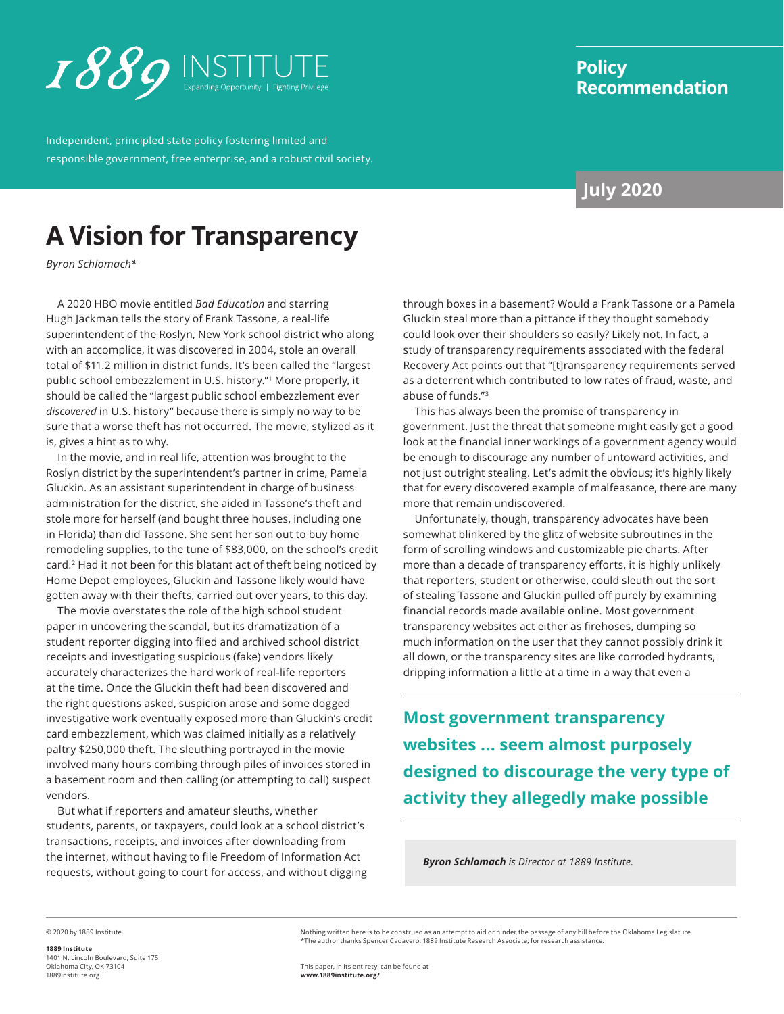<span id="page-0-0"></span>

Independent, principled state policy fostering limited and responsible government, free enterprise, and a robust civil society.

## **Policy Recommendation**

## **July 2020**

# **A Vision for Transparency**

*Byron Schlomach\**

A 2020 HBO movie entitled *Bad Education* and starring Hugh Jackman tells the story of Frank Tassone, a real-life superintendent of the Roslyn, New York school district who along with an accomplice, it was discovered in 2004, stole an overall total of \$11.2 million in district funds. It's been called the "largest public school embezzlement in U.S. history."[1](#page-7-0) More properly, it should be called the "largest public school embezzlement ever *discovered* in U.S. history" because there is simply no way to be sure that a worse theft has not occurred. The movie, stylized as it is, gives a hint as to why.

In the movie, and in real life, attention was brought to the Roslyn district by the superintendent's partner in crime, Pamela Gluckin. As an assistant superintendent in charge of business administration for the district, she aided in Tassone's theft and stole more for herself (and bought three houses, including one in Florida) than did Tassone. She sent her son out to buy home remodeling supplies, to the tune of \$83,000, on the school's credit card.[2](#page-7-0) Had it not been for this blatant act of theft being noticed by Home Depot employees, Gluckin and Tassone likely would have gotten away with their thefts, carried out over years, to this day.

The movie overstates the role of the high school student paper in uncovering the scandal, but its dramatization of a student reporter digging into filed and archived school district receipts and investigating suspicious (fake) vendors likely accurately characterizes the hard work of real-life reporters at the time. Once the Gluckin theft had been discovered and the right questions asked, suspicion arose and some dogged investigative work eventually exposed more than Gluckin's credit card embezzlement, which was claimed initially as a relatively paltry \$250,000 theft. The sleuthing portrayed in the movie involved many hours combing through piles of invoices stored in a basement room and then calling (or attempting to call) suspect vendors.

But what if reporters and amateur sleuths, whether students, parents, or taxpayers, could look at a school district's transactions, receipts, and invoices after downloading from the internet, without having to file Freedom of Information Act requests, without going to court for access, and without digging through boxes in a basement? Would a Frank Tassone or a Pamela Gluckin steal more than a pittance if they thought somebody could look over their shoulders so easily? Likely not. In fact, a study of transparency requirements associated with the federal Recovery Act points out that "[t]ransparency requirements served as a deterrent which contributed to low rates of fraud, waste, and abuse of funds."[3](#page-7-0)

This has always been the promise of transparency in government. Just the threat that someone might easily get a good look at the financial inner workings of a government agency would be enough to discourage any number of untoward activities, and not just outright stealing. Let's admit the obvious; it's highly likely that for every discovered example of malfeasance, there are many more that remain undiscovered.

Unfortunately, though, transparency advocates have been somewhat blinkered by the glitz of website subroutines in the form of scrolling windows and customizable pie charts. After more than a decade of transparency efforts, it is highly unlikely that reporters, student or otherwise, could sleuth out the sort of stealing Tassone and Gluckin pulled off purely by examining financial records made available online. Most government transparency websites act either as firehoses, dumping so much information on the user that they cannot possibly drink it all down, or the transparency sites are like corroded hydrants, dripping information a little at a time in a way that even a

**Most government transparency websites ... seem almost purposely designed to discourage the very type of activity they allegedly make possible**

*Byron Schlomach is Director at 1889 Institute.*

© 2020 by 1889 Institute.

**1889 Institute** 1401 N. Lincoln Boulevard, Suite 175 Oklahoma City, OK 73104 [1889institute.org](http://www.1889institute.org)

Nothing written here is to be construed as an attempt to aid or hinder the passage of any bill before the Oklahoma Legislature. \*The author thanks Spencer Cadavero, 1889 Institute Research Associate, for research assistance.

This paper, in its entirety, can be found at **www.[1889institute.org/](https://1889institute.org/)**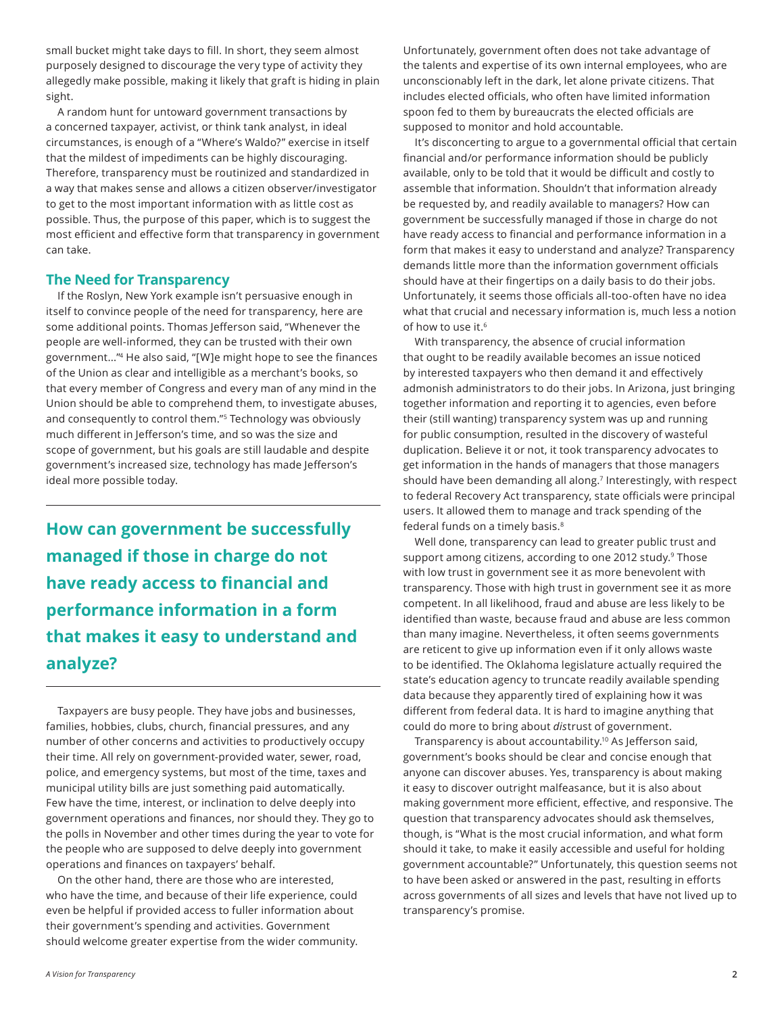<span id="page-1-0"></span>small bucket might take days to fill. In short, they seem almost purposely designed to discourage the very type of activity they allegedly make possible, making it likely that graft is hiding in plain sight.

A random hunt for untoward government transactions by a concerned taxpayer, activist, or think tank analyst, in ideal circumstances, is enough of a "Where's Waldo?" exercise in itself that the mildest of impediments can be highly discouraging. Therefore, transparency must be routinized and standardized in a way that makes sense and allows a citizen observer/investigator to get to the most important information with as little cost as possible. Thus, the purpose of this paper, which is to suggest the most efficient and effective form that transparency in government can take.

### **The Need for Transparency**

If the Roslyn, New York example isn't persuasive enough in itself to convince people of the need for transparency, here are some additional points. Thomas Jefferson said, "Whenever the people are well-informed, they can be trusted with their own government..."[4](#page-7-0) He also said, "[W]e might hope to see the finances of the Union as clear and intelligible as a merchant's books, so that every member of Congress and every man of any mind in the Union should be able to comprehend them, to investigate abuses, and consequently to control them."[5](#page-7-0) Technology was obviously much different in Jefferson's time, and so was the size and scope of government, but his goals are still laudable and despite government's increased size, technology has made Jefferson's ideal more possible today.

**How can government be successfully managed if those in charge do not have ready access to financial and performance information in a form that makes it easy to understand and analyze?** 

Taxpayers are busy people. They have jobs and businesses, families, hobbies, clubs, church, financial pressures, and any number of other concerns and activities to productively occupy their time. All rely on government-provided water, sewer, road, police, and emergency systems, but most of the time, taxes and municipal utility bills are just something paid automatically. Few have the time, interest, or inclination to delve deeply into government operations and finances, nor should they. They go to the polls in November and other times during the year to vote for the people who are supposed to delve deeply into government operations and finances on taxpayers' behalf.

On the other hand, there are those who are interested, who have the time, and because of their life experience, could even be helpful if provided access to fuller information about their government's spending and activities. Government should welcome greater expertise from the wider community. Unfortunately, government often does not take advantage of the talents and expertise of its own internal employees, who are unconscionably left in the dark, let alone private citizens. That includes elected officials, who often have limited information spoon fed to them by bureaucrats the elected officials are supposed to monitor and hold accountable.

It's disconcerting to argue to a governmental official that certain financial and/or performance information should be publicly available, only to be told that it would be difficult and costly to assemble that information. Shouldn't that information already be requested by, and readily available to managers? How can government be successfully managed if those in charge do not have ready access to financial and performance information in a form that makes it easy to understand and analyze? Transparency demands little more than the information government officials should have at their fingertips on a daily basis to do their jobs. Unfortunately, it seems those officials all-too-often have no idea what that crucial and necessary information is, much less a notion of how to use it.<sup>[6](#page-7-0)</sup>

With transparency, the absence of crucial information that ought to be readily available becomes an issue noticed by interested taxpayers who then demand it and effectively admonish administrators to do their jobs. In Arizona, just bringing together information and reporting it to agencies, even before their (still wanting) transparency system was up and running for public consumption, resulted in the discovery of wasteful duplication. Believe it or not, it took transparency advocates to get information in the hands of managers that those managers should have been demanding all along.<sup>[7](#page-7-0)</sup> Interestingly, with respect to federal Recovery Act transparency, state officials were principal users. It allowed them to manage and track spending of the federal funds on a timely basis.[8](#page-7-0)

Well done, transparency can lead to greater public trust and support among citizens, according to one 2012 study.<sup>9</sup> Those with low trust in government see it as more benevolent with transparency. Those with high trust in government see it as more competent. In all likelihood, fraud and abuse are less likely to be identified than waste, because fraud and abuse are less common than many imagine. Nevertheless, it often seems governments are reticent to give up information even if it only allows waste to be identified. The Oklahoma legislature actually required the state's education agency to truncate readily available spending data because they apparently tired of explaining how it was different from federal data. It is hard to imagine anything that could do more to bring about *dis*trust of government.

Transparency is about accountability[.10](#page-7-0) As Jefferson said, government's books should be clear and concise enough that anyone can discover abuses. Yes, transparency is about making it easy to discover outright malfeasance, but it is also about making government more efficient, effective, and responsive. The question that transparency advocates should ask themselves, though, is "What is the most crucial information, and what form should it take, to make it easily accessible and useful for holding government accountable?" Unfortunately, this question seems not to have been asked or answered in the past, resulting in efforts across governments of all sizes and levels that have not lived up to transparency's promise.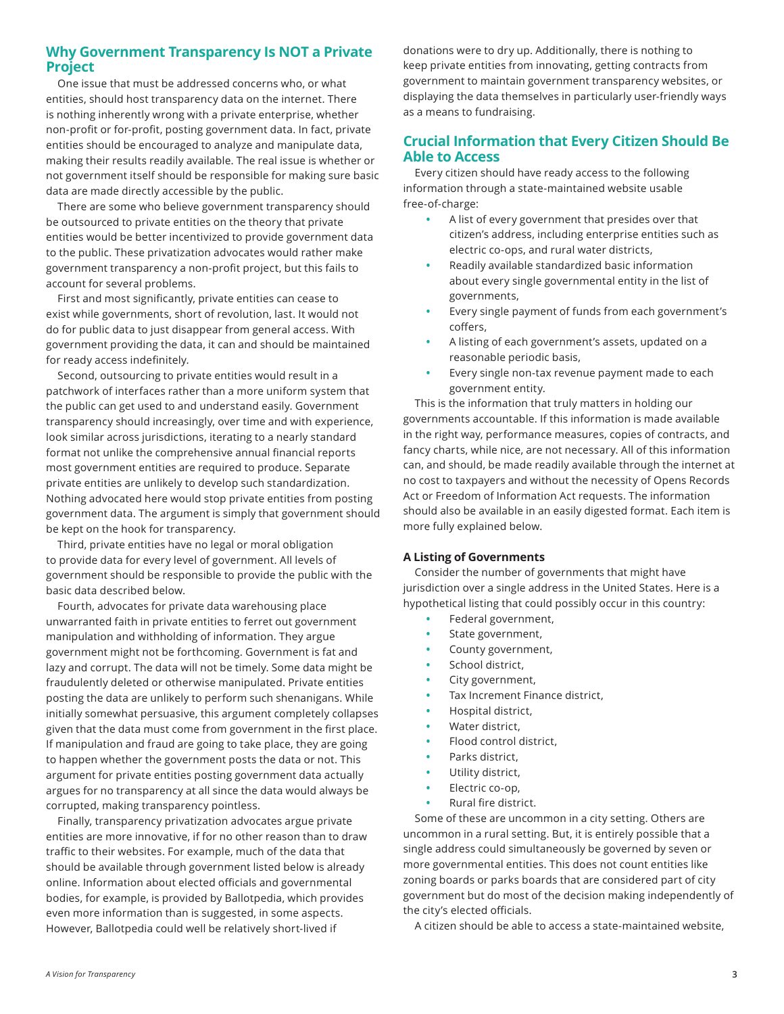### **Why Government Transparency Is NOT a Private Project**

One issue that must be addressed concerns who, or what entities, should host transparency data on the internet. There is nothing inherently wrong with a private enterprise, whether non-profit or for-profit, posting government data. In fact, private entities should be encouraged to analyze and manipulate data, making their results readily available. The real issue is whether or not government itself should be responsible for making sure basic data are made directly accessible by the public.

There are some who believe government transparency should be outsourced to private entities on the theory that private entities would be better incentivized to provide government data to the public. These privatization advocates would rather make government transparency a non-profit project, but this fails to account for several problems.

First and most significantly, private entities can cease to exist while governments, short of revolution, last. It would not do for public data to just disappear from general access. With government providing the data, it can and should be maintained for ready access indefinitely.

Second, outsourcing to private entities would result in a patchwork of interfaces rather than a more uniform system that the public can get used to and understand easily. Government transparency should increasingly, over time and with experience, look similar across jurisdictions, iterating to a nearly standard format not unlike the comprehensive annual financial reports most government entities are required to produce. Separate private entities are unlikely to develop such standardization. Nothing advocated here would stop private entities from posting government data. The argument is simply that government should be kept on the hook for transparency.

Third, private entities have no legal or moral obligation to provide data for every level of government. All levels of government should be responsible to provide the public with the basic data described below.

Fourth, advocates for private data warehousing place unwarranted faith in private entities to ferret out government manipulation and withholding of information. They argue government might not be forthcoming. Government is fat and lazy and corrupt. The data will not be timely. Some data might be fraudulently deleted or otherwise manipulated. Private entities posting the data are unlikely to perform such shenanigans. While initially somewhat persuasive, this argument completely collapses given that the data must come from government in the first place. If manipulation and fraud are going to take place, they are going to happen whether the government posts the data or not. This argument for private entities posting government data actually argues for no transparency at all since the data would always be corrupted, making transparency pointless.

Finally, transparency privatization advocates argue private entities are more innovative, if for no other reason than to draw traffic to their websites. For example, much of the data that should be available through government listed below is already online. Information about elected officials and governmental bodies, for example, is provided by Ballotpedia, which provides even more information than is suggested, in some aspects. However, Ballotpedia could well be relatively short-lived if

donations were to dry up. Additionally, there is nothing to keep private entities from innovating, getting contracts from government to maintain government transparency websites, or displaying the data themselves in particularly user-friendly ways as a means to fundraising.

## **Crucial Information that Every Citizen Should Be Able to Access**

Every citizen should have ready access to the following information through a state-maintained website usable free-of-charge:

- **•** A list of every government that presides over that citizen's address, including enterprise entities such as electric co-ops, and rural water districts,
- **•** Readily available standardized basic information about every single governmental entity in the list of governments,
- **•** Every single payment of funds from each government's coffers,
- **•** A listing of each government's assets, updated on a reasonable periodic basis,
- **•** Every single non-tax revenue payment made to each government entity.

This is the information that truly matters in holding our governments accountable. If this information is made available in the right way, performance measures, copies of contracts, and fancy charts, while nice, are not necessary. All of this information can, and should, be made readily available through the internet at no cost to taxpayers and without the necessity of Opens Records Act or Freedom of Information Act requests. The information should also be available in an easily digested format. Each item is more fully explained below.

### **A Listing of Governments**

Consider the number of governments that might have jurisdiction over a single address in the United States. Here is a hypothetical listing that could possibly occur in this country:

- **•** Federal government,
- **•** State government,
- **•** County government,
- **•** School district,
- **•** City government,
- **•** Tax Increment Finance district,
- **•** Hospital district,
- **•** Water district,
- **•** Flood control district,
- **•** Parks district,
- **•** Utility district,
- **•** Electric co-op,
- **•** Rural fire district.

Some of these are uncommon in a city setting. Others are uncommon in a rural setting. But, it is entirely possible that a single address could simultaneously be governed by seven or more governmental entities. This does not count entities like zoning boards or parks boards that are considered part of city government but do most of the decision making independently of the city's elected officials.

A citizen should be able to access a state-maintained website,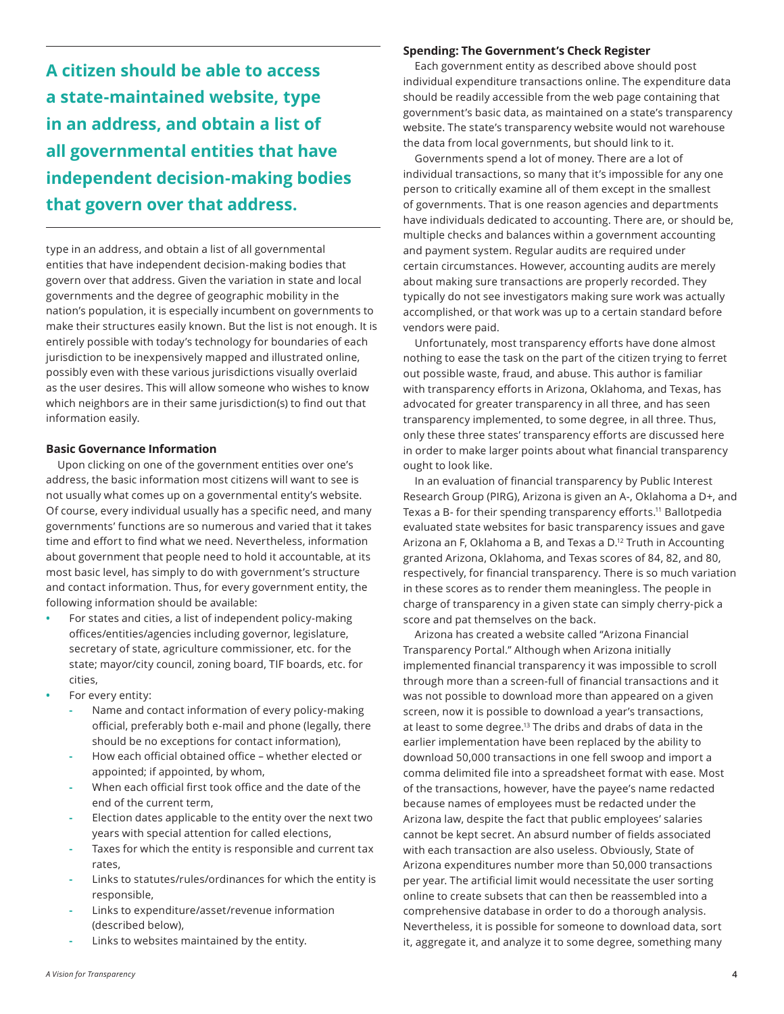<span id="page-3-0"></span>**A citizen should be able to access a state-maintained website, type in an address, and obtain a list of all governmental entities that have independent decision-making bodies that govern over that address.** 

type in an address, and obtain a list of all governmental entities that have independent decision-making bodies that govern over that address. Given the variation in state and local governments and the degree of geographic mobility in the nation's population, it is especially incumbent on governments to make their structures easily known. But the list is not enough. It is entirely possible with today's technology for boundaries of each jurisdiction to be inexpensively mapped and illustrated online, possibly even with these various jurisdictions visually overlaid as the user desires. This will allow someone who wishes to know which neighbors are in their same jurisdiction(s) to find out that information easily.

#### **Basic Governance Information**

Upon clicking on one of the government entities over one's address, the basic information most citizens will want to see is not usually what comes up on a governmental entity's website. Of course, every individual usually has a specific need, and many governments' functions are so numerous and varied that it takes time and effort to find what we need. Nevertheless, information about government that people need to hold it accountable, at its most basic level, has simply to do with government's structure and contact information. Thus, for every government entity, the following information should be available:

- **•** For states and cities, a list of independent policy-making offices/entities/agencies including governor, legislature, secretary of state, agriculture commissioner, etc. for the state; mayor/city council, zoning board, TIF boards, etc. for cities,
- **•** For every entity:
	- **-** Name and contact information of every policy-making official, preferably both e-mail and phone (legally, there should be no exceptions for contact information),
	- **-** How each official obtained office whether elected or appointed; if appointed, by whom,
	- **-** When each official first took office and the date of the end of the current term,
	- **-** Election dates applicable to the entity over the next two years with special attention for called elections,
	- **-** Taxes for which the entity is responsible and current tax rates,
	- **-** Links to statutes/rules/ordinances for which the entity is responsible,
	- **-** Links to expenditure/asset/revenue information (described below),
	- **-** Links to websites maintained by the entity.

#### **Spending: The Government's Check Register**

Each government entity as described above should post individual expenditure transactions online. The expenditure data should be readily accessible from the web page containing that government's basic data, as maintained on a state's transparency website. The state's transparency website would not warehouse the data from local governments, but should link to it.

Governments spend a lot of money. There are a lot of individual transactions, so many that it's impossible for any one person to critically examine all of them except in the smallest of governments. That is one reason agencies and departments have individuals dedicated to accounting. There are, or should be, multiple checks and balances within a government accounting and payment system. Regular audits are required under certain circumstances. However, accounting audits are merely about making sure transactions are properly recorded. They typically do not see investigators making sure work was actually accomplished, or that work was up to a certain standard before vendors were paid.

Unfortunately, most transparency efforts have done almost nothing to ease the task on the part of the citizen trying to ferret out possible waste, fraud, and abuse. This author is familiar with transparency efforts in Arizona, Oklahoma, and Texas, has advocated for greater transparency in all three, and has seen transparency implemented, to some degree, in all three. Thus, only these three states' transparency efforts are discussed here in order to make larger points about what financial transparency ought to look like.

In an evaluation of financial transparency by Public Interest Research Group (PIRG), Arizona is given an A-, Oklahoma a D+, and Texas a B- for their spending transparency efforts.<sup>[11](#page-7-0)</sup> Ballotpedia evaluated state websites for basic transparency issues and gave Arizona an F, Oklahoma a B, and Texas a D[.12](#page-7-0) Truth in Accounting granted Arizona, Oklahoma, and Texas scores of 84, 82, and 80, respectively, for financial transparency. There is so much variation in these scores as to render them meaningless. The people in charge of transparency in a given state can simply cherry-pick a score and pat themselves on the back.

Arizona has created a website called "Arizona Financial Transparency Portal." Although when Arizona initially implemented financial transparency it was impossible to scroll through more than a screen-full of financial transactions and it was not possible to download more than appeared on a given screen, now it is possible to download a year's transactions, at least to some degree[.13](#page-7-0) The dribs and drabs of data in the earlier implementation have been replaced by the ability to download 50,000 transactions in one fell swoop and import a comma delimited file into a spreadsheet format with ease. Most of the transactions, however, have the payee's name redacted because names of employees must be redacted under the Arizona law, despite the fact that public employees' salaries cannot be kept secret. An absurd number of fields associated with each transaction are also useless. Obviously, State of Arizona expenditures number more than 50,000 transactions per year. The artificial limit would necessitate the user sorting online to create subsets that can then be reassembled into a comprehensive database in order to do a thorough analysis. Nevertheless, it is possible for someone to download data, sort it, aggregate it, and analyze it to some degree, something many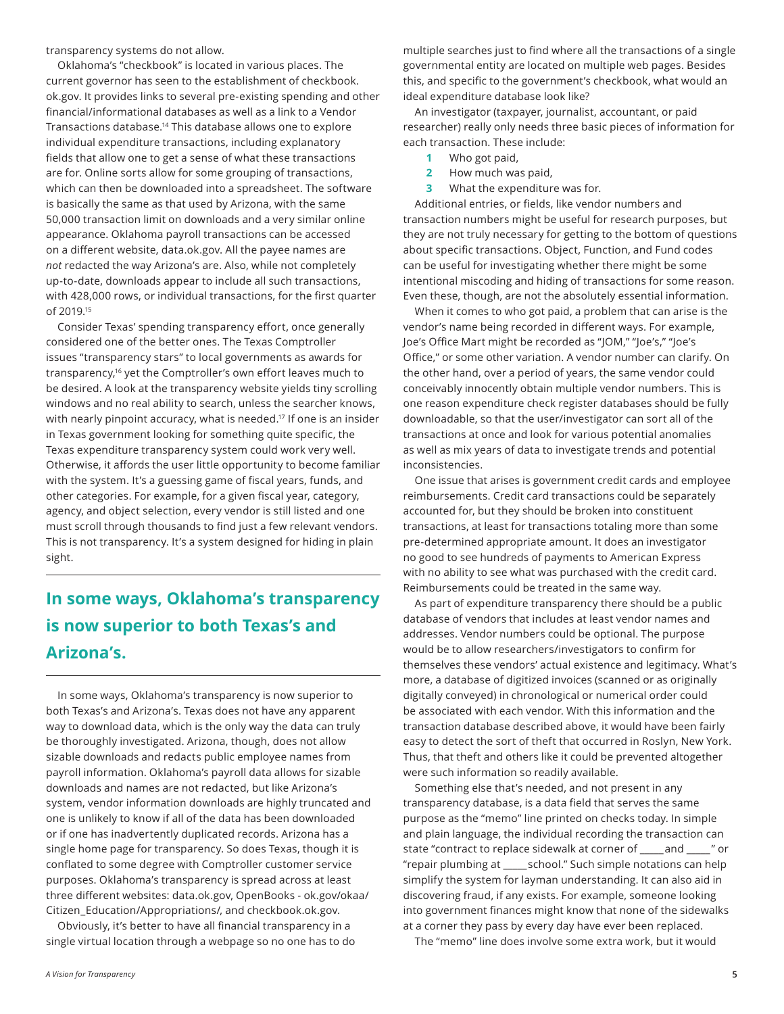<span id="page-4-0"></span>transparency systems do not allow.

Oklahoma's "checkbook" is located in various places. The current governor has seen to the establishment of checkbook. ok.gov. It provides links to several pre-existing spending and other financial/informational databases as well as a link to a Vendor Transactions database[.14](#page-7-0) This database allows one to explore individual expenditure transactions, including explanatory fields that allow one to get a sense of what these transactions are for. Online sorts allow for some grouping of transactions, which can then be downloaded into a spreadsheet. The software is basically the same as that used by Arizona, with the same 50,000 transaction limit on downloads and a very similar online appearance. Oklahoma payroll transactions can be accessed on a different website, data.ok.gov. All the payee names are *not* redacted the way Arizona's are. Also, while not completely up-to-date, downloads appear to include all such transactions, with 428,000 rows, or individual transactions, for the first quarter of 2019[.15](#page-7-0)

Consider Texas' spending transparency effort, once generally considered one of the better ones. The Texas Comptroller issues "transparency stars" to local governments as awards for transparency[,16](#page-7-0) yet the Comptroller's own effort leaves much to be desired. A look at the transparency website yields tiny scrolling windows and no real ability to search, unless the searcher knows, with nearly pinpoint accuracy, what is needed.<sup>17</sup> If one is an insider in Texas government looking for something quite specific, the Texas expenditure transparency system could work very well. Otherwise, it affords the user little opportunity to become familiar with the system. It's a guessing game of fiscal years, funds, and other categories. For example, for a given fiscal year, category, agency, and object selection, every vendor is still listed and one must scroll through thousands to find just a few relevant vendors. This is not transparency. It's a system designed for hiding in plain sight.

## **In some ways, Oklahoma's transparency is now superior to both Texas's and Arizona's.**

In some ways, Oklahoma's transparency is now superior to both Texas's and Arizona's. Texas does not have any apparent way to download data, which is the only way the data can truly be thoroughly investigated. Arizona, though, does not allow sizable downloads and redacts public employee names from payroll information. Oklahoma's payroll data allows for sizable downloads and names are not redacted, but like Arizona's system, vendor information downloads are highly truncated and one is unlikely to know if all of the data has been downloaded or if one has inadvertently duplicated records. Arizona has a single home page for transparency. So does Texas, though it is conflated to some degree with Comptroller customer service purposes. Oklahoma's transparency is spread across at least three different websites: data.ok.gov, OpenBooks - ok.gov/okaa/ Citizen\_Education/Appropriations/, and checkbook.ok.gov.

Obviously, it's better to have all financial transparency in a single virtual location through a webpage so no one has to do

An investigator (taxpayer, journalist, accountant, or paid researcher) really only needs three basic pieces of information for each transaction. These include:

- **1** Who got paid,
- **2** How much was paid,
- **3** What the expenditure was for.

Additional entries, or fields, like vendor numbers and transaction numbers might be useful for research purposes, but they are not truly necessary for getting to the bottom of questions about specific transactions. Object, Function, and Fund codes can be useful for investigating whether there might be some intentional miscoding and hiding of transactions for some reason. Even these, though, are not the absolutely essential information.

When it comes to who got paid, a problem that can arise is the vendor's name being recorded in different ways. For example, Joe's Office Mart might be recorded as "JOM," "Joe's," "Joe's Office," or some other variation. A vendor number can clarify. On the other hand, over a period of years, the same vendor could conceivably innocently obtain multiple vendor numbers. This is one reason expenditure check register databases should be fully downloadable, so that the user/investigator can sort all of the transactions at once and look for various potential anomalies as well as mix years of data to investigate trends and potential inconsistencies.

One issue that arises is government credit cards and employee reimbursements. Credit card transactions could be separately accounted for, but they should be broken into constituent transactions, at least for transactions totaling more than some pre-determined appropriate amount. It does an investigator no good to see hundreds of payments to American Express with no ability to see what was purchased with the credit card. Reimbursements could be treated in the same way.

As part of expenditure transparency there should be a public database of vendors that includes at least vendor names and addresses. Vendor numbers could be optional. The purpose would be to allow researchers/investigators to confirm for themselves these vendors' actual existence and legitimacy. What's more, a database of digitized invoices (scanned or as originally digitally conveyed) in chronological or numerical order could be associated with each vendor. With this information and the transaction database described above, it would have been fairly easy to detect the sort of theft that occurred in Roslyn, New York. Thus, that theft and others like it could be prevented altogether were such information so readily available.

Something else that's needed, and not present in any transparency database, is a data field that serves the same purpose as the "memo" line printed on checks today. In simple and plain language, the individual recording the transaction can state "contract to replace sidewalk at corner of and z and and "repair plumbing at \_\_\_\_\_ school." Such simple notations can help simplify the system for layman understanding. It can also aid in discovering fraud, if any exists. For example, someone looking into government finances might know that none of the sidewalks at a corner they pass by every day have ever been replaced.

The "memo" line does involve some extra work, but it would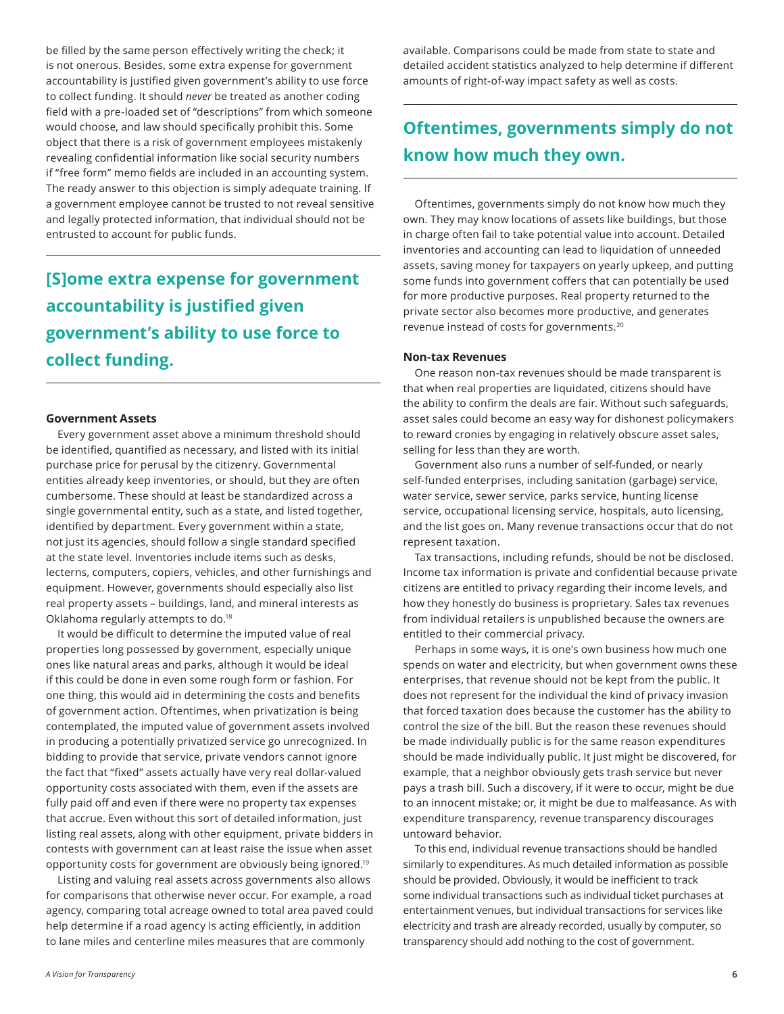<span id="page-5-0"></span>be filled by the same person effectively writing the check; it is not onerous. Besides, some extra expense for government accountability is justified given government's ability to use force to collect funding. It should *never* be treated as another coding field with a pre-loaded set of "descriptions" from which someone would choose, and law should specifically prohibit this. Some object that there is a risk of government employees mistakenly revealing confidential information like social security numbers if "free form" memo fields are included in an accounting system. The ready answer to this objection is simply adequate training. If a government employee cannot be trusted to not reveal sensitive and legally protected information, that individual should not be entrusted to account for public funds.

## **[S]ome extra expense for government accountability is justified given government's ability to use force to collect funding.**

#### **Government Assets**

Every government asset above a minimum threshold should be identified, quantified as necessary, and listed with its initial purchase price for perusal by the citizenry. Governmental entities already keep inventories, or should, but they are often cumbersome. These should at least be standardized across a single governmental entity, such as a state, and listed together, identified by department. Every government within a state, not just its agencies, should follow a single standard specified at the state level. Inventories include items such as desks, lecterns, computers, copiers, vehicles, and other furnishings and equipment. However, governments should especially also list real property assets – buildings, land, and mineral interests as Oklahoma regularly attempts to do[.18](#page-7-0)

It would be difficult to determine the imputed value of real properties long possessed by government, especially unique ones like natural areas and parks, although it would be ideal if this could be done in even some rough form or fashion. For one thing, this would aid in determining the costs and benefits of government action. Oftentimes, when privatization is being contemplated, the imputed value of government assets involved in producing a potentially privatized service go unrecognized. In bidding to provide that service, private vendors cannot ignore the fact that "fixed" assets actually have very real dollar-valued opportunity costs associated with them, even if the assets are fully paid off and even if there were no property tax expenses that accrue. Even without this sort of detailed information, just listing real assets, along with other equipment, private bidders in contests with government can at least raise the issue when asset opportunity costs for government are obviously being ignored[.19](#page-7-0)

Listing and valuing real assets across governments also allows for comparisons that otherwise never occur. For example, a road agency, comparing total acreage owned to total area paved could help determine if a road agency is acting efficiently, in addition to lane miles and centerline miles measures that are commonly

available. Comparisons could be made from state to state and detailed accident statistics analyzed to help determine if different amounts of right-of-way impact safety as well as costs.

## **Oftentimes, governments simply do not know how much they own.**

Oftentimes, governments simply do not know how much they own. They may know locations of assets like buildings, but those in charge often fail to take potential value into account. Detailed inventories and accounting can lead to liquidation of unneeded assets, saving money for taxpayers on yearly upkeep, and putting some funds into government coffers that can potentially be used for more productive purposes. Real property returned to the private sector also becomes more productive, and generates revenue instead of costs for governments.[20](#page-7-0)

#### **Non-tax Revenues**

One reason non-tax revenues should be made transparent is that when real properties are liquidated, citizens should have the ability to confirm the deals are fair. Without such safeguards, asset sales could become an easy way for dishonest policymakers to reward cronies by engaging in relatively obscure asset sales, selling for less than they are worth.

Government also runs a number of self-funded, or nearly self-funded enterprises, including sanitation (garbage) service, water service, sewer service, parks service, hunting license service, occupational licensing service, hospitals, auto licensing, and the list goes on. Many revenue transactions occur that do not represent taxation.

Tax transactions, including refunds, should be not be disclosed. Income tax information is private and confidential because private citizens are entitled to privacy regarding their income levels, and how they honestly do business is proprietary. Sales tax revenues from individual retailers is unpublished because the owners are entitled to their commercial privacy.

Perhaps in some ways, it is one's own business how much one spends on water and electricity, but when government owns these enterprises, that revenue should not be kept from the public. It does not represent for the individual the kind of privacy invasion that forced taxation does because the customer has the ability to control the size of the bill. But the reason these revenues should be made individually public is for the same reason expenditures should be made individually public. It just might be discovered, for example, that a neighbor obviously gets trash service but never pays a trash bill. Such a discovery, if it were to occur, might be due to an innocent mistake; or, it might be due to malfeasance. As with expenditure transparency, revenue transparency discourages untoward behavior.

To this end, individual revenue transactions should be handled similarly to expenditures. As much detailed information as possible should be provided. Obviously, it would be inefficient to track some individual transactions such as individual ticket purchases at entertainment venues, but individual transactions for services like electricity and trash are already recorded, usually by computer, so transparency should add nothing to the cost of government.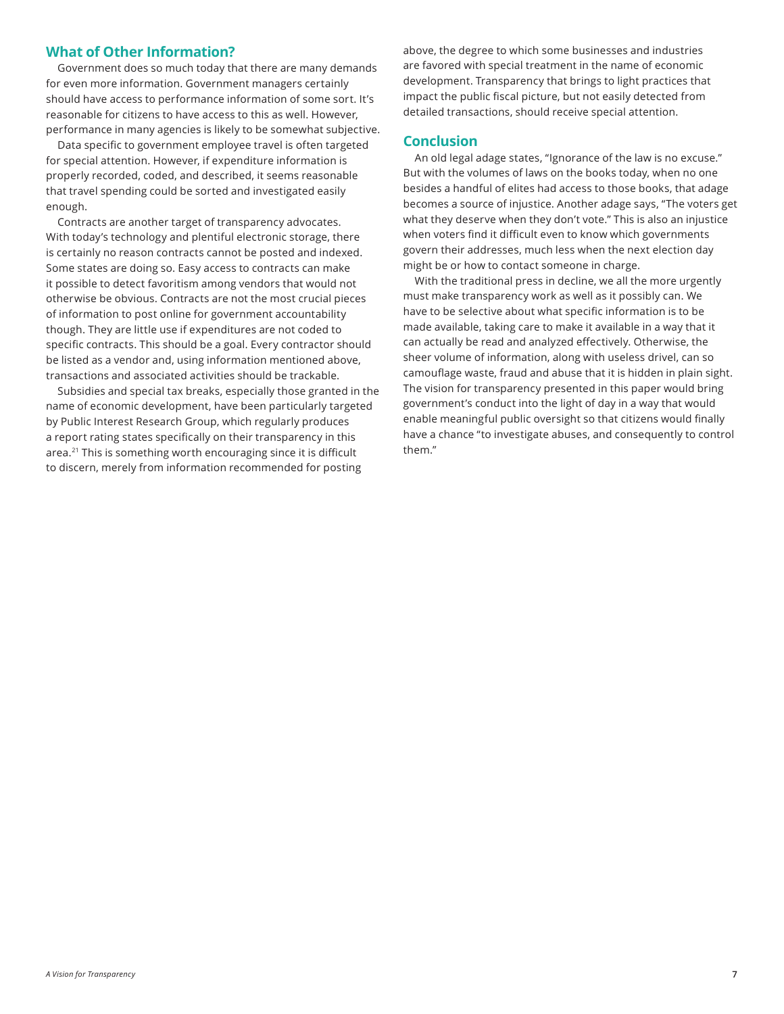### <span id="page-6-0"></span>**What of Other Information?**

Government does so much today that there are many demands for even more information. Government managers certainly should have access to performance information of some sort. It's reasonable for citizens to have access to this as well. However, performance in many agencies is likely to be somewhat subjective.

Data specific to government employee travel is often targeted for special attention. However, if expenditure information is properly recorded, coded, and described, it seems reasonable that travel spending could be sorted and investigated easily enough.

Contracts are another target of transparency advocates. With today's technology and plentiful electronic storage, there is certainly no reason contracts cannot be posted and indexed. Some states are doing so. Easy access to contracts can make it possible to detect favoritism among vendors that would not otherwise be obvious. Contracts are not the most crucial pieces of information to post online for government accountability though. They are little use if expenditures are not coded to specific contracts. This should be a goal. Every contractor should be listed as a vendor and, using information mentioned above, transactions and associated activities should be trackable.

Subsidies and special tax breaks, especially those granted in the name of economic development, have been particularly targeted by Public Interest Research Group, which regularly produces a report rating states specifically on their transparency in this area.[21](#page-7-0) This is something worth encouraging since it is difficult to discern, merely from information recommended for posting

above, the degree to which some businesses and industries are favored with special treatment in the name of economic development. Transparency that brings to light practices that impact the public fiscal picture, but not easily detected from detailed transactions, should receive special attention.

### **Conclusion**

An old legal adage states, "Ignorance of the law is no excuse." But with the volumes of laws on the books today, when no one besides a handful of elites had access to those books, that adage becomes a source of injustice. Another adage says, "The voters get what they deserve when they don't vote." This is also an injustice when voters find it difficult even to know which governments govern their addresses, much less when the next election day might be or how to contact someone in charge.

With the traditional press in decline, we all the more urgently must make transparency work as well as it possibly can. We have to be selective about what specific information is to be made available, taking care to make it available in a way that it can actually be read and analyzed effectively. Otherwise, the sheer volume of information, along with useless drivel, can so camouflage waste, fraud and abuse that it is hidden in plain sight. The vision for transparency presented in this paper would bring government's conduct into the light of day in a way that would enable meaningful public oversight so that citizens would finally have a chance "to investigate abuses, and consequently to control them."